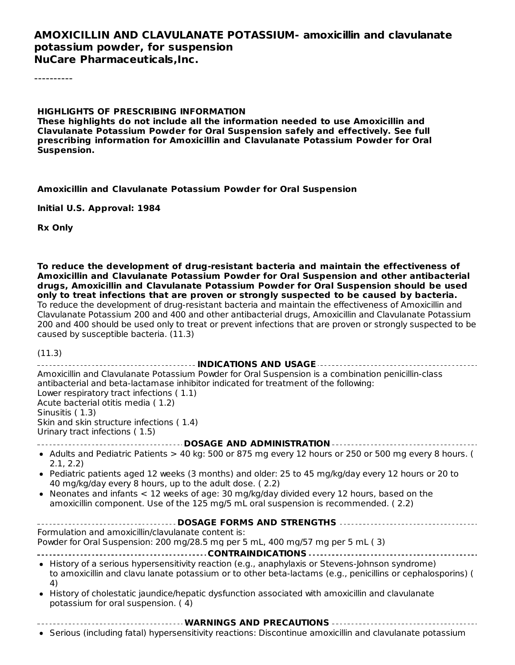#### **AMOXICILLIN AND CLAVULANATE POTASSIUM- amoxicillin and clavulanate potassium powder, for suspension NuCare Pharmaceuticals,Inc.**

----------

#### **HIGHLIGHTS OF PRESCRIBING INFORMATION**

**These highlights do not include all the information needed to use Amoxicillin and Clavulanate Potassium Powder for Oral Suspension safely and effectively. See full prescribing information for Amoxicillin and Clavulanate Potassium Powder for Oral Suspension.**

#### **Amoxicillin and Clavulanate Potassium Powder for Oral Suspension**

**Initial U.S. Approval: 1984**

**Rx Only**

**To reduce the development of drug-resistant bacteria and maintain the effectiveness of Amoxicillin and Clavulanate Potassium Powder for Oral Suspension and other antibacterial drugs, Amoxicillin and Clavulanate Potassium Powder for Oral Suspension should be used only to treat infections that are proven or strongly suspected to be caused by bacteria.** To reduce the development of drug-resistant bacteria and maintain the effectiveness of Amoxicillin and Clavulanate Potassium 200 and 400 and other antibacterial drugs, Amoxicillin and Clavulanate Potassium 200 and 400 should be used only to treat or prevent infections that are proven or strongly suspected to be caused by susceptible bacteria. (11.3)

(11.3)

| Amoxicillin and Clavulanate Potassium Powder for Oral Suspension is a combination penicillin-class<br>antibacterial and beta-lactamase inhibitor indicated for treatment of the following:<br>Lower respiratory tract infections (1.1)<br>Acute bacterial otitis media (1.2)<br>Sinusitis (1.3)<br>Skin and skin structure infections (1.4)<br>Urinary tract infections (1.5)                                                                                                |
|------------------------------------------------------------------------------------------------------------------------------------------------------------------------------------------------------------------------------------------------------------------------------------------------------------------------------------------------------------------------------------------------------------------------------------------------------------------------------|
| ---------------------------------- DOSAGE AND ADMINISTRATION ------------------------                                                                                                                                                                                                                                                                                                                                                                                        |
| • Adults and Pediatric Patients > 40 kg: 500 or 875 mg every 12 hours or 250 or 500 mg every 8 hours. (<br>2.1, 2.2)<br>• Pediatric patients aged 12 weeks (3 months) and older: 25 to 45 mg/kg/day every 12 hours or 20 to<br>40 mg/kg/day every 8 hours, up to the adult dose. (2.2)<br>• Neonates and infants < 12 weeks of age: 30 mg/kg/day divided every 12 hours, based on the<br>amoxicillin component. Use of the 125 mg/5 mL oral suspension is recommended. (2.2) |
| <b>DOSAGE FORMS AND STRENGTHS </b>                                                                                                                                                                                                                                                                                                                                                                                                                                           |
| Formulation and amoxicillin/clavulanate content is:<br>Powder for Oral Suspension: 200 mg/28.5 mg per 5 mL, 400 mg/57 mg per 5 mL (3)                                                                                                                                                                                                                                                                                                                                        |
| • History of a serious hypersensitivity reaction (e.g., anaphylaxis or Stevens-Johnson syndrome)<br>to amoxicillin and clavu lanate potassium or to other beta-lactams (e.g., penicillins or cephalosporins) (<br>4)                                                                                                                                                                                                                                                         |
| • History of cholestatic jaundice/hepatic dysfunction associated with amoxicillin and clavulanate<br>potassium for oral suspension. (4)                                                                                                                                                                                                                                                                                                                                      |
| ----------------------------- WARNINGS AND PRECAUTIONS ------------------------------<br>• Serious (including fatal) hypersensitivity reactions: Discontinue amoxicillin and clavulanate potassium                                                                                                                                                                                                                                                                           |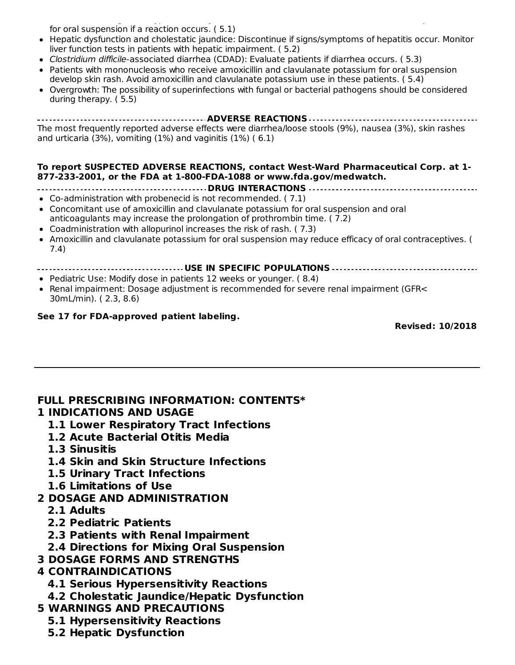Serious (including fatal) hypersensitivity reactions: Discontinue amoxicillin and clavulanate potassium for oral suspension if a reaction occurs. ( 5.1)

- Hepatic dysfunction and cholestatic jaundice: Discontinue if signs/symptoms of hepatitis occur. Monitor liver function tests in patients with hepatic impairment. ( 5.2)
- Clostridium difficile-associated diarrhea (CDAD): Evaluate patients if diarrhea occurs. ( 5.3)
- Patients with mononucleosis who receive amoxicillin and clavulanate potassium for oral suspension  $\bullet$ develop skin rash. Avoid amoxicillin and clavulanate potassium use in these patients. ( 5.4)
- Overgrowth: The possibility of superinfections with fungal or bacterial pathogens should be considered during therapy. ( 5.5)

**ADVERSE REACTIONS** The most frequently reported adverse effects were diarrhea/loose stools (9%), nausea (3%), skin rashes and urticaria (3%), vomiting (1%) and vaginitis (1%) ( 6.1)

#### **To report SUSPECTED ADVERSE REACTIONS, contact West-Ward Pharmaceutical Corp. at 1- 877-233-2001, or the FDA at 1-800-FDA-1088 or www.fda.gov/medwatch.**

- **DRUG INTERACTIONS**
- Co-administration with probenecid is not recommended. ( 7.1)
- Concomitant use of amoxicillin and clavulanate potassium for oral suspension and oral anticoagulants may increase the prolongation of prothrombin time. ( 7.2)
- Coadministration with allopurinol increases the risk of rash. ( 7.3)
- Amoxicillin and clavulanate potassium for oral suspension may reduce efficacy of oral contraceptives. ( 7.4)
	- **USE IN SPECIFIC POPULATIONS**
- Pediatric Use: Modify dose in patients 12 weeks or younger. ( 8.4)
- Renal impairment: Dosage adjustment is recommended for severe renal impairment (GFR< 30mL/min). ( 2.3, 8.6)

#### **See 17 for FDA-approved patient labeling.**

**Revised: 10/2018**

#### **FULL PRESCRIBING INFORMATION: CONTENTS\***

#### **1 INDICATIONS AND USAGE**

- **1.1 Lower Respiratory Tract Infections**
- **1.2 Acute Bacterial Otitis Media**
- **1.3 Sinusitis**
- **1.4 Skin and Skin Structure Infections**
- **1.5 Urinary Tract Infections**
- **1.6 Limitations of Use**

#### **2 DOSAGE AND ADMINISTRATION**

- **2.1 Adults**
- **2.2 Pediatric Patients**
- **2.3 Patients with Renal Impairment**
- **2.4 Directions for Mixing Oral Suspension**
- **3 DOSAGE FORMS AND STRENGTHS**

#### **4 CONTRAINDICATIONS**

- **4.1 Serious Hypersensitivity Reactions**
- **4.2 Cholestatic Jaundice/Hepatic Dysfunction**
- **5 WARNINGS AND PRECAUTIONS**
	- **5.1 Hypersensitivity Reactions**
	- **5.2 Hepatic Dysfunction**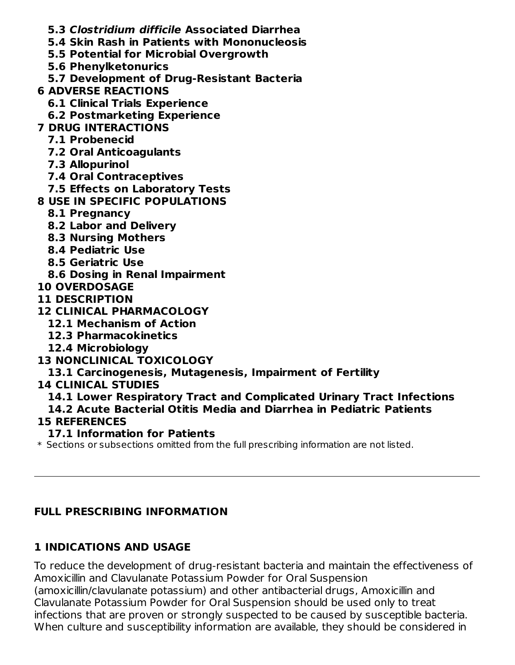- **5.3 Clostridium difficile Associated Diarrhea**
- **5.4 Skin Rash in Patients with Mononucleosis**
- **5.5 Potential for Microbial Overgrowth**
- **5.6 Phenylketonurics**
- **5.7 Development of Drug-Resistant Bacteria**
- **6 ADVERSE REACTIONS**
	- **6.1 Clinical Trials Experience**
	- **6.2 Postmarketing Experience**
- **7 DRUG INTERACTIONS**
	- **7.1 Probenecid**
	- **7.2 Oral Anticoagulants**
	- **7.3 Allopurinol**
	- **7.4 Oral Contraceptives**
	- **7.5 Effects on Laboratory Tests**
- **8 USE IN SPECIFIC POPULATIONS**
	- **8.1 Pregnancy**
	- **8.2 Labor and Delivery**
	- **8.3 Nursing Mothers**
	- **8.4 Pediatric Use**
	- **8.5 Geriatric Use**
- **8.6 Dosing in Renal Impairment**
- **10 OVERDOSAGE**
- **11 DESCRIPTION**
- **12 CLINICAL PHARMACOLOGY**
	- **12.1 Mechanism of Action**
	- **12.3 Pharmacokinetics**
	- **12.4 Microbiology**
- **13 NONCLINICAL TOXICOLOGY**
- **13.1 Carcinogenesis, Mutagenesis, Impairment of Fertility**
- **14 CLINICAL STUDIES**
	- **14.1 Lower Respiratory Tract and Complicated Urinary Tract Infections 14.2 Acute Bacterial Otitis Media and Diarrhea in Pediatric Patients**

## **15 REFERENCES**

- **17.1 Information for Patients**
- $\ast$  Sections or subsections omitted from the full prescribing information are not listed.

## **FULL PRESCRIBING INFORMATION**

## **1 INDICATIONS AND USAGE**

To reduce the development of drug-resistant bacteria and maintain the effectiveness of Amoxicillin and Clavulanate Potassium Powder for Oral Suspension (amoxicillin/clavulanate potassium) and other antibacterial drugs, Amoxicillin and Clavulanate Potassium Powder for Oral Suspension should be used only to treat infections that are proven or strongly suspected to be caused by susceptible bacteria. When culture and susceptibility information are available, they should be considered in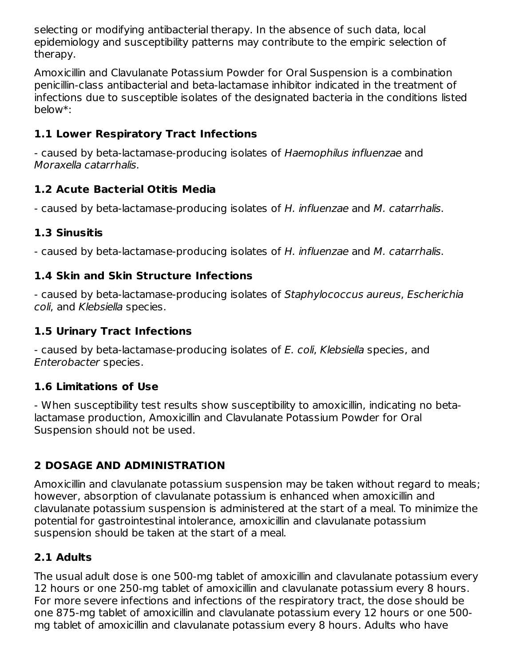selecting or modifying antibacterial therapy. In the absence of such data, local epidemiology and susceptibility patterns may contribute to the empiric selection of therapy.

Amoxicillin and Clavulanate Potassium Powder for Oral Suspension is a combination penicillin-class antibacterial and beta-lactamase inhibitor indicated in the treatment of infections due to susceptible isolates of the designated bacteria in the conditions listed below\*:

## **1.1 Lower Respiratory Tract Infections**

- caused by beta-lactamase-producing isolates of Haemophilus influenzae and Moraxella catarrhalis.

### **1.2 Acute Bacterial Otitis Media**

- caused by beta-lactamase-producing isolates of H. influenzae and M. catarrhalis.

### **1.3 Sinusitis**

- caused by beta-lactamase-producing isolates of H. influenzae and M. catarrhalis.

## **1.4 Skin and Skin Structure Infections**

- caused by beta-lactamase-producing isolates of Staphylococcus aureus, Escherichia coli, and Klebsiella species.

## **1.5 Urinary Tract Infections**

- caused by beta-lactamase-producing isolates of E. coli, Klebsiella species, and Enterobacter species.

### **1.6 Limitations of Use**

- When susceptibility test results show susceptibility to amoxicillin, indicating no betalactamase production, Amoxicillin and Clavulanate Potassium Powder for Oral Suspension should not be used.

# **2 DOSAGE AND ADMINISTRATION**

Amoxicillin and clavulanate potassium suspension may be taken without regard to meals; however, absorption of clavulanate potassium is enhanced when amoxicillin and clavulanate potassium suspension is administered at the start of a meal. To minimize the potential for gastrointestinal intolerance, amoxicillin and clavulanate potassium suspension should be taken at the start of a meal.

## **2.1 Adults**

The usual adult dose is one 500-mg tablet of amoxicillin and clavulanate potassium every 12 hours or one 250-mg tablet of amoxicillin and clavulanate potassium every 8 hours. For more severe infections and infections of the respiratory tract, the dose should be one 875-mg tablet of amoxicillin and clavulanate potassium every 12 hours or one 500 mg tablet of amoxicillin and clavulanate potassium every 8 hours. Adults who have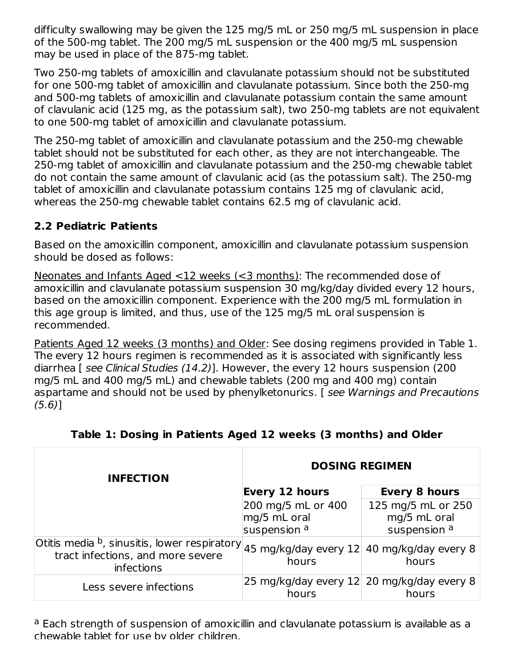difficulty swallowing may be given the 125 mg/5 mL or 250 mg/5 mL suspension in place of the 500-mg tablet. The 200 mg/5 mL suspension or the 400 mg/5 mL suspension may be used in place of the 875-mg tablet.

Two 250-mg tablets of amoxicillin and clavulanate potassium should not be substituted for one 500-mg tablet of amoxicillin and clavulanate potassium. Since both the 250-mg and 500-mg tablets of amoxicillin and clavulanate potassium contain the same amount of clavulanic acid (125 mg, as the potassium salt), two 250-mg tablets are not equivalent to one 500-mg tablet of amoxicillin and clavulanate potassium.

The 250-mg tablet of amoxicillin and clavulanate potassium and the 250-mg chewable tablet should not be substituted for each other, as they are not interchangeable. The 250-mg tablet of amoxicillin and clavulanate potassium and the 250-mg chewable tablet do not contain the same amount of clavulanic acid (as the potassium salt). The 250-mg tablet of amoxicillin and clavulanate potassium contains 125 mg of clavulanic acid, whereas the 250-mg chewable tablet contains 62.5 mg of clavulanic acid.

## **2.2 Pediatric Patients**

Based on the amoxicillin component, amoxicillin and clavulanate potassium suspension should be dosed as follows:

Neonates and Infants Aged <12 weeks (<3 months): The recommended dose of amoxicillin and clavulanate potassium suspension 30 mg/kg/day divided every 12 hours, based on the amoxicillin component. Experience with the 200 mg/5 mL formulation in this age group is limited, and thus, use of the 125 mg/5 mL oral suspension is recommended.

Patients Aged 12 weeks (3 months) and Older: See dosing regimens provided in Table 1. The every 12 hours regimen is recommended as it is associated with significantly less diarrhea [ see Clinical Studies (14.2)]. However, the every 12 hours suspension (200 mg/5 mL and 400 mg/5 mL) and chewable tablets (200 mg and 400 mg) contain aspartame and should not be used by phenylketonurics. [ see Warnings and Precautions (5.6)]

| <b>INFECTION</b>                                                                                                 | <b>DOSING REGIMEN</b>                                          |                                                    |
|------------------------------------------------------------------------------------------------------------------|----------------------------------------------------------------|----------------------------------------------------|
|                                                                                                                  | <b>Every 12 hours</b>                                          | Every 8 hours                                      |
|                                                                                                                  | 200 mg/5 mL or 400<br>mg/5 mL oral<br>suspension <sup>a</sup>  | 125 mg/5 mL or 250<br>mg/5 mL oral<br>suspension a |
| Otitis media $^{\rm b}$ , sinusitis, lower respiratory<br>tract infections, and more severe<br><i>infections</i> | $ 45 \text{ mg/kg/day}$ every 12 40 mg/kg/day every 8<br>hours | hours                                              |
| Less severe infections                                                                                           | 25 mg/kg/day every 12 20 mg/kg/day every 8<br>hours            | hours                                              |

### **Table 1: Dosing in Patients Aged 12 weeks (3 months) and Older**

<sup>a</sup> Each strength of suspension of amoxicillin and clavulanate potassium is available as a chewable tablet for use by older children.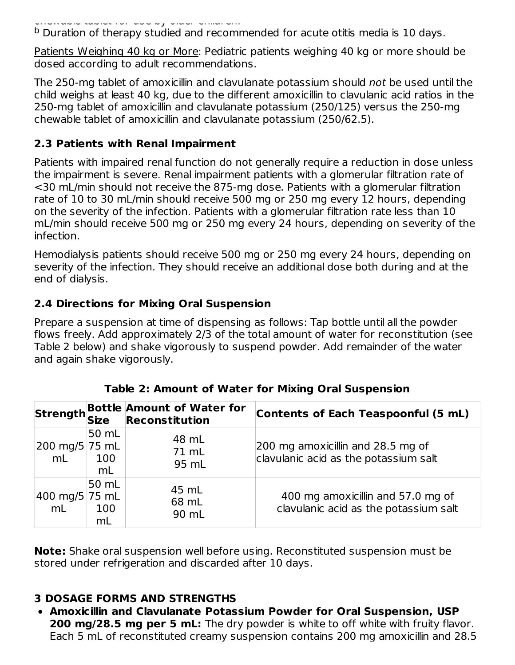chewable tablet for use by older children.

**b** Duration of therapy studied and recommended for acute otitis media is 10 days.

Patients Weighing 40 kg or More: Pediatric patients weighing 40 kg or more should be dosed according to adult recommendations.

The 250-mg tablet of amoxicillin and clavulanate potassium should not be used until the child weighs at least 40 kg, due to the different amoxicillin to clavulanic acid ratios in the 250-mg tablet of amoxicillin and clavulanate potassium (250/125) versus the 250-mg chewable tablet of amoxicillin and clavulanate potassium (250/62.5).

#### **2.3 Patients with Renal Impairment**

Patients with impaired renal function do not generally require a reduction in dose unless the impairment is severe. Renal impairment patients with a glomerular filtration rate of <30 mL/min should not receive the 875-mg dose. Patients with a glomerular filtration rate of 10 to 30 mL/min should receive 500 mg or 250 mg every 12 hours, depending on the severity of the infection. Patients with a glomerular filtration rate less than 10 mL/min should receive 500 mg or 250 mg every 24 hours, depending on severity of the infection.

Hemodialysis patients should receive 500 mg or 250 mg every 24 hours, depending on severity of the infection. They should receive an additional dose both during and at the end of dialysis.

## **2.4 Directions for Mixing Oral Suspension**

Prepare a suspension at time of dispensing as follows: Tap bottle until all the powder flows freely. Add approximately 2/3 of the total amount of water for reconstitution (see Table 2 below) and shake vigorously to suspend powder. Add remainder of the water and again shake vigorously.

|                      |                    | Strength Bottle Amount of Water for<br>Strength Size Reconstitution | <b>Contents of Each Teaspoonful (5 mL)</b>                                 |
|----------------------|--------------------|---------------------------------------------------------------------|----------------------------------------------------------------------------|
| 200 mg/5 75 mL<br>mL | 50 mL<br>100<br>mL | 48 mL<br>71 mL<br>95 mL                                             | 200 mg amoxicillin and 28.5 mg of<br>clavulanic acid as the potassium salt |
| 400 mg/5 75 mL<br>mL | 50 mL<br>100<br>mL | 45 mL<br>68 mL<br>90 mL                                             | 400 mg amoxicillin and 57.0 mg of<br>clavulanic acid as the potassium salt |

|  | Table 2: Amount of Water for Mixing Oral Suspension |  |  |  |  |
|--|-----------------------------------------------------|--|--|--|--|
|  |                                                     |  |  |  |  |

**Note:** Shake oral suspension well before using. Reconstituted suspension must be stored under refrigeration and discarded after 10 days.

### **3 DOSAGE FORMS AND STRENGTHS**

**Amoxicillin and Clavulanate Potassium Powder for Oral Suspension, USP 200 mg/28.5 mg per 5 mL:** The dry powder is white to off white with fruity flavor. Each 5 mL of reconstituted creamy suspension contains 200 mg amoxicillin and 28.5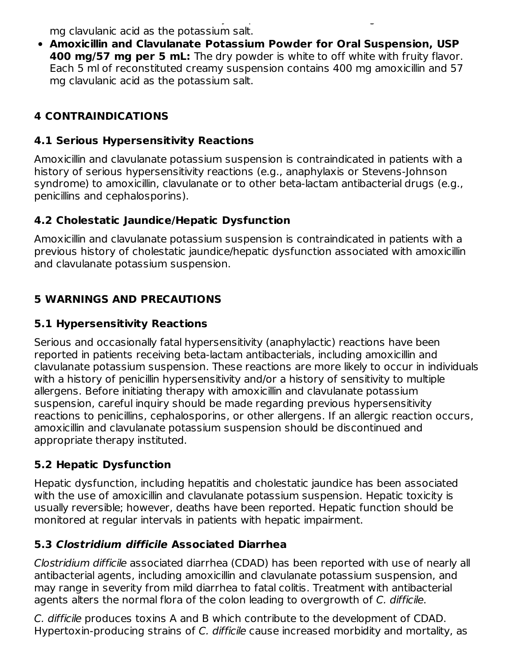Each 5 mL of reconstituted creamy suspension contains 200 mg amoxicillin and 28.5 mg clavulanic acid as the potassium salt.

**Amoxicillin and Clavulanate Potassium Powder for Oral Suspension, USP 400 mg/57 mg per 5 mL:** The dry powder is white to off white with fruity flavor. Each 5 ml of reconstituted creamy suspension contains 400 mg amoxicillin and 57 mg clavulanic acid as the potassium salt.

## **4 CONTRAINDICATIONS**

### **4.1 Serious Hypersensitivity Reactions**

Amoxicillin and clavulanate potassium suspension is contraindicated in patients with a history of serious hypersensitivity reactions (e.g., anaphylaxis or Stevens-Johnson syndrome) to amoxicillin, clavulanate or to other beta-lactam antibacterial drugs (e.g., penicillins and cephalosporins).

### **4.2 Cholestatic Jaundice/Hepatic Dysfunction**

Amoxicillin and clavulanate potassium suspension is contraindicated in patients with a previous history of cholestatic jaundice/hepatic dysfunction associated with amoxicillin and clavulanate potassium suspension.

## **5 WARNINGS AND PRECAUTIONS**

#### **5.1 Hypersensitivity Reactions**

Serious and occasionally fatal hypersensitivity (anaphylactic) reactions have been reported in patients receiving beta-lactam antibacterials, including amoxicillin and clavulanate potassium suspension. These reactions are more likely to occur in individuals with a history of penicillin hypersensitivity and/or a history of sensitivity to multiple allergens. Before initiating therapy with amoxicillin and clavulanate potassium suspension, careful inquiry should be made regarding previous hypersensitivity reactions to penicillins, cephalosporins, or other allergens. If an allergic reaction occurs, amoxicillin and clavulanate potassium suspension should be discontinued and appropriate therapy instituted.

### **5.2 Hepatic Dysfunction**

Hepatic dysfunction, including hepatitis and cholestatic jaundice has been associated with the use of amoxicillin and clavulanate potassium suspension. Hepatic toxicity is usually reversible; however, deaths have been reported. Hepatic function should be monitored at regular intervals in patients with hepatic impairment.

### **5.3 Clostridium difficile Associated Diarrhea**

Clostridium difficile associated diarrhea (CDAD) has been reported with use of nearly all antibacterial agents, including amoxicillin and clavulanate potassium suspension, and may range in severity from mild diarrhea to fatal colitis. Treatment with antibacterial agents alters the normal flora of the colon leading to overgrowth of C. difficile.

C. difficile produces toxins A and B which contribute to the development of CDAD. Hypertoxin-producing strains of C. difficile cause increased morbidity and mortality, as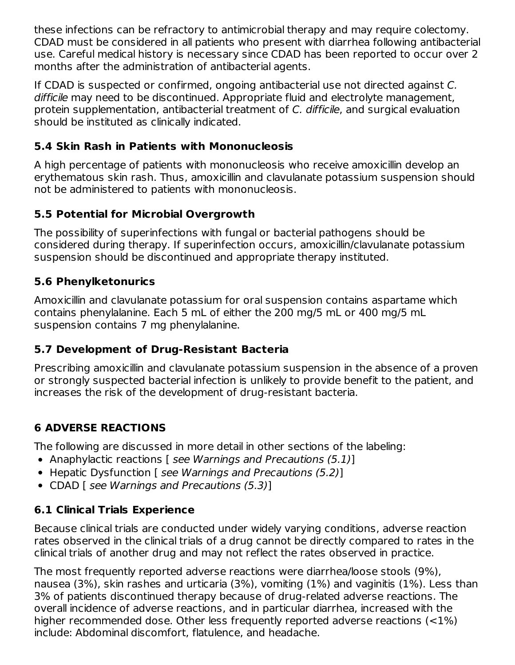these infections can be refractory to antimicrobial therapy and may require colectomy. CDAD must be considered in all patients who present with diarrhea following antibacterial use. Careful medical history is necessary since CDAD has been reported to occur over 2 months after the administration of antibacterial agents.

If CDAD is suspected or confirmed, ongoing antibacterial use not directed against C. difficile may need to be discontinued. Appropriate fluid and electrolyte management, protein supplementation, antibacterial treatment of C. difficile, and surgical evaluation should be instituted as clinically indicated.

## **5.4 Skin Rash in Patients with Mononucleosis**

A high percentage of patients with mononucleosis who receive amoxicillin develop an erythematous skin rash. Thus, amoxicillin and clavulanate potassium suspension should not be administered to patients with mononucleosis.

## **5.5 Potential for Microbial Overgrowth**

The possibility of superinfections with fungal or bacterial pathogens should be considered during therapy. If superinfection occurs, amoxicillin/clavulanate potassium suspension should be discontinued and appropriate therapy instituted.

### **5.6 Phenylketonurics**

Amoxicillin and clavulanate potassium for oral suspension contains aspartame which contains phenylalanine. Each 5 mL of either the 200 mg/5 mL or 400 mg/5 mL suspension contains 7 mg phenylalanine.

## **5.7 Development of Drug-Resistant Bacteria**

Prescribing amoxicillin and clavulanate potassium suspension in the absence of a proven or strongly suspected bacterial infection is unlikely to provide benefit to the patient, and increases the risk of the development of drug-resistant bacteria.

# **6 ADVERSE REACTIONS**

The following are discussed in more detail in other sections of the labeling:

- Anaphylactic reactions [ see Warnings and Precautions (5.1)]
- Hepatic Dysfunction [ see Warnings and Precautions (5.2)]
- CDAD [ see Warnings and Precautions (5.3)]

## **6.1 Clinical Trials Experience**

Because clinical trials are conducted under widely varying conditions, adverse reaction rates observed in the clinical trials of a drug cannot be directly compared to rates in the clinical trials of another drug and may not reflect the rates observed in practice.

The most frequently reported adverse reactions were diarrhea/loose stools (9%), nausea (3%), skin rashes and urticaria (3%), vomiting (1%) and vaginitis (1%). Less than 3% of patients discontinued therapy because of drug-related adverse reactions. The overall incidence of adverse reactions, and in particular diarrhea, increased with the higher recommended dose. Other less frequently reported adverse reactions (<1%) include: Abdominal discomfort, flatulence, and headache.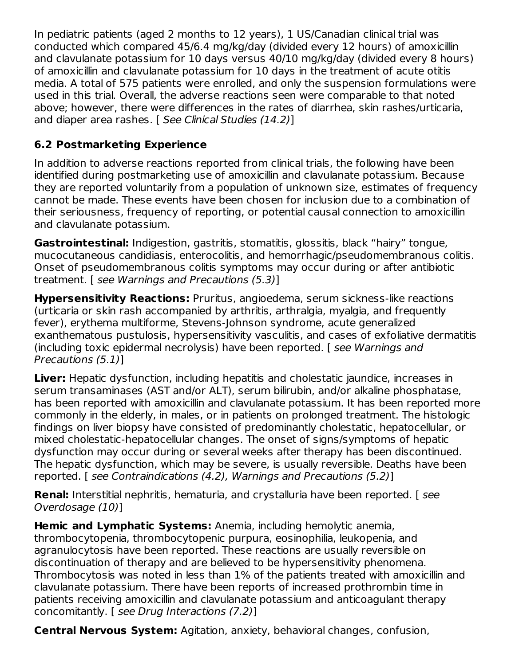In pediatric patients (aged 2 months to 12 years), 1 US/Canadian clinical trial was conducted which compared 45/6.4 mg/kg/day (divided every 12 hours) of amoxicillin and clavulanate potassium for 10 days versus 40/10 mg/kg/day (divided every 8 hours) of amoxicillin and clavulanate potassium for 10 days in the treatment of acute otitis media. A total of 575 patients were enrolled, and only the suspension formulations were used in this trial. Overall, the adverse reactions seen were comparable to that noted above; however, there were differences in the rates of diarrhea, skin rashes/urticaria, and diaper area rashes. [ See Clinical Studies (14.2)]

## **6.2 Postmarketing Experience**

In addition to adverse reactions reported from clinical trials, the following have been identified during postmarketing use of amoxicillin and clavulanate potassium. Because they are reported voluntarily from a population of unknown size, estimates of frequency cannot be made. These events have been chosen for inclusion due to a combination of their seriousness, frequency of reporting, or potential causal connection to amoxicillin and clavulanate potassium.

**Gastrointestinal:** Indigestion, gastritis, stomatitis, glossitis, black "hairy" tongue, mucocutaneous candidiasis, enterocolitis, and hemorrhagic/pseudomembranous colitis. Onset of pseudomembranous colitis symptoms may occur during or after antibiotic treatment. [ see Warnings and Precautions (5.3)]

**Hypersensitivity Reactions:** Pruritus, angioedema, serum sickness-like reactions (urticaria or skin rash accompanied by arthritis, arthralgia, myalgia, and frequently fever), erythema multiforme, Stevens-Johnson syndrome, acute generalized exanthematous pustulosis, hypersensitivity vasculitis, and cases of exfoliative dermatitis (including toxic epidermal necrolysis) have been reported. [ see Warnings and Precautions (5.1)]

**Liver:** Hepatic dysfunction, including hepatitis and cholestatic jaundice, increases in serum transaminases (AST and/or ALT), serum bilirubin, and/or alkaline phosphatase, has been reported with amoxicillin and clavulanate potassium. It has been reported more commonly in the elderly, in males, or in patients on prolonged treatment. The histologic findings on liver biopsy have consisted of predominantly cholestatic, hepatocellular, or mixed cholestatic-hepatocellular changes. The onset of signs/symptoms of hepatic dysfunction may occur during or several weeks after therapy has been discontinued. The hepatic dysfunction, which may be severe, is usually reversible. Deaths have been reported. [ see Contraindications (4.2), Warnings and Precautions (5.2)]

**Renal:** Interstitial nephritis, hematuria, and crystalluria have been reported. [ see Overdosage (10)]

**Hemic and Lymphatic Systems:** Anemia, including hemolytic anemia, thrombocytopenia, thrombocytopenic purpura, eosinophilia, leukopenia, and agranulocytosis have been reported. These reactions are usually reversible on discontinuation of therapy and are believed to be hypersensitivity phenomena. Thrombocytosis was noted in less than 1% of the patients treated with amoxicillin and clavulanate potassium. There have been reports of increased prothrombin time in patients receiving amoxicillin and clavulanate potassium and anticoagulant therapy concomitantly. [ see Drug Interactions (7.2)]

**Central Nervous System:** Agitation, anxiety, behavioral changes, confusion,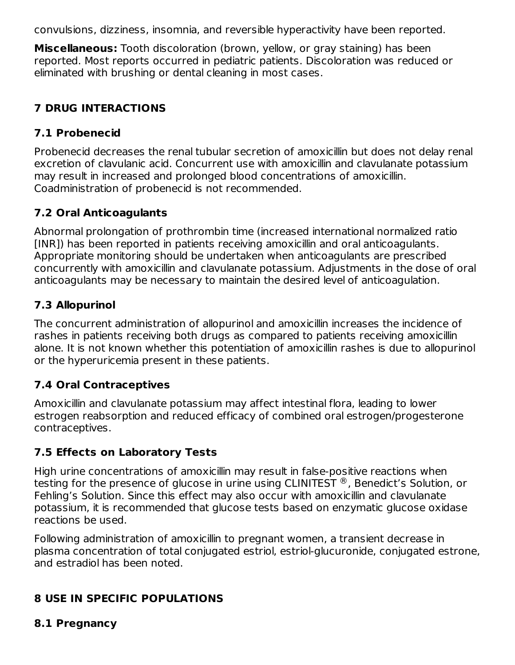convulsions, dizziness, insomnia, and reversible hyperactivity have been reported.

**Miscellaneous:** Tooth discoloration (brown, yellow, or gray staining) has been reported. Most reports occurred in pediatric patients. Discoloration was reduced or eliminated with brushing or dental cleaning in most cases.

## **7 DRUG INTERACTIONS**

## **7.1 Probenecid**

Probenecid decreases the renal tubular secretion of amoxicillin but does not delay renal excretion of clavulanic acid. Concurrent use with amoxicillin and clavulanate potassium may result in increased and prolonged blood concentrations of amoxicillin. Coadministration of probenecid is not recommended.

## **7.2 Oral Anticoagulants**

Abnormal prolongation of prothrombin time (increased international normalized ratio [INR]) has been reported in patients receiving amoxicillin and oral anticoagulants. Appropriate monitoring should be undertaken when anticoagulants are prescribed concurrently with amoxicillin and clavulanate potassium. Adjustments in the dose of oral anticoagulants may be necessary to maintain the desired level of anticoagulation.

## **7.3 Allopurinol**

The concurrent administration of allopurinol and amoxicillin increases the incidence of rashes in patients receiving both drugs as compared to patients receiving amoxicillin alone. It is not known whether this potentiation of amoxicillin rashes is due to allopurinol or the hyperuricemia present in these patients.

## **7.4 Oral Contraceptives**

Amoxicillin and clavulanate potassium may affect intestinal flora, leading to lower estrogen reabsorption and reduced efficacy of combined oral estrogen/progesterone contraceptives.

## **7.5 Effects on Laboratory Tests**

High urine concentrations of amoxicillin may result in false-positive reactions when testing for the presence of glucose in urine using CLINITEST  $^\circledR$  , Benedict's Solution, or Fehling's Solution. Since this effect may also occur with amoxicillin and clavulanate potassium, it is recommended that glucose tests based on enzymatic glucose oxidase reactions be used.

Following administration of amoxicillin to pregnant women, a transient decrease in plasma concentration of total conjugated estriol, estriol-glucuronide, conjugated estrone, and estradiol has been noted.

# **8 USE IN SPECIFIC POPULATIONS**

### **8.1 Pregnancy**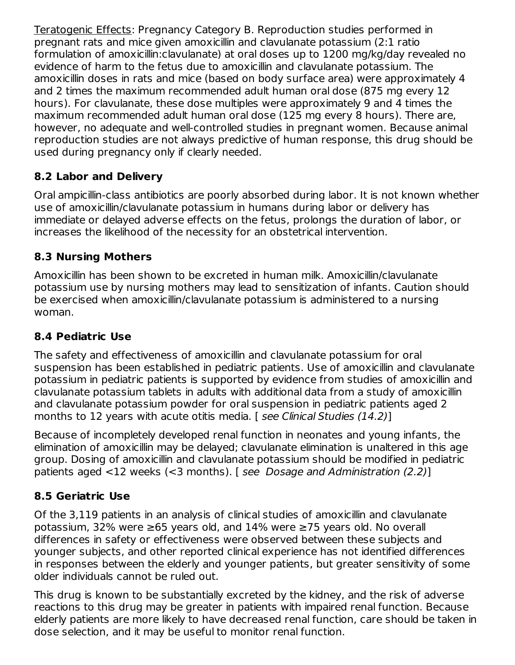Teratogenic Effects: Pregnancy Category B. Reproduction studies performed in pregnant rats and mice given amoxicillin and clavulanate potassium (2:1 ratio formulation of amoxicillin:clavulanate) at oral doses up to 1200 mg/kg/day revealed no evidence of harm to the fetus due to amoxicillin and clavulanate potassium. The amoxicillin doses in rats and mice (based on body surface area) were approximately 4 and 2 times the maximum recommended adult human oral dose (875 mg every 12 hours). For clavulanate, these dose multiples were approximately 9 and 4 times the maximum recommended adult human oral dose (125 mg every 8 hours). There are, however, no adequate and well-controlled studies in pregnant women. Because animal reproduction studies are not always predictive of human response, this drug should be used during pregnancy only if clearly needed.

## **8.2 Labor and Delivery**

Oral ampicillin-class antibiotics are poorly absorbed during labor. It is not known whether use of amoxicillin/clavulanate potassium in humans during labor or delivery has immediate or delayed adverse effects on the fetus, prolongs the duration of labor, or increases the likelihood of the necessity for an obstetrical intervention.

### **8.3 Nursing Mothers**

Amoxicillin has been shown to be excreted in human milk. Amoxicillin/clavulanate potassium use by nursing mothers may lead to sensitization of infants. Caution should be exercised when amoxicillin/clavulanate potassium is administered to a nursing woman.

## **8.4 Pediatric Use**

The safety and effectiveness of amoxicillin and clavulanate potassium for oral suspension has been established in pediatric patients. Use of amoxicillin and clavulanate potassium in pediatric patients is supported by evidence from studies of amoxicillin and clavulanate potassium tablets in adults with additional data from a study of amoxicillin and clavulanate potassium powder for oral suspension in pediatric patients aged 2 months to 12 years with acute otitis media. [ see Clinical Studies (14.2)]

Because of incompletely developed renal function in neonates and young infants, the elimination of amoxicillin may be delayed; clavulanate elimination is unaltered in this age group. Dosing of amoxicillin and clavulanate potassium should be modified in pediatric patients aged <12 weeks (<3 months). [ see Dosage and Administration (2.2)]

### **8.5 Geriatric Use**

Of the 3,119 patients in an analysis of clinical studies of amoxicillin and clavulanate potassium, 32% were ≥65 years old, and 14% were ≥75 years old. No overall differences in safety or effectiveness were observed between these subjects and younger subjects, and other reported clinical experience has not identified differences in responses between the elderly and younger patients, but greater sensitivity of some older individuals cannot be ruled out.

This drug is known to be substantially excreted by the kidney, and the risk of adverse reactions to this drug may be greater in patients with impaired renal function. Because elderly patients are more likely to have decreased renal function, care should be taken in dose selection, and it may be useful to monitor renal function.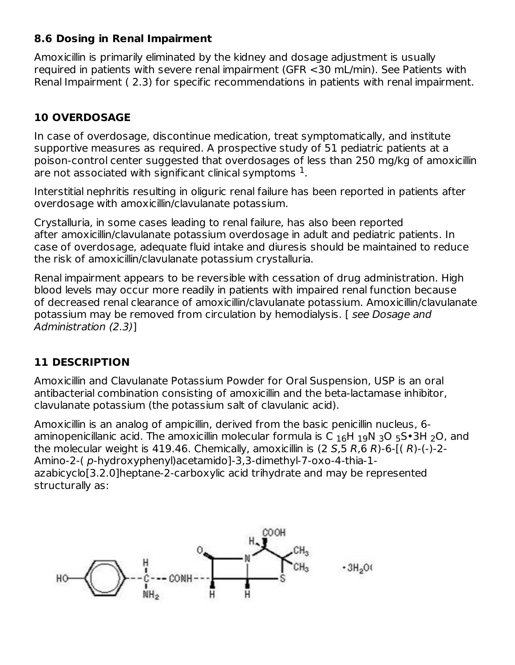#### **8.6 Dosing in Renal Impairment**

Amoxicillin is primarily eliminated by the kidney and dosage adjustment is usually required in patients with severe renal impairment (GFR <30 mL/min). See Patients with Renal Impairment ( 2.3) for specific recommendations in patients with renal impairment.

## **10 OVERDOSAGE**

In case of overdosage, discontinue medication, treat symptomatically, and institute supportive measures as required. A prospective study of 51 pediatric patients at a poison-control center suggested that overdosages of less than 250 mg/kg of amoxicillin are not associated with significant clinical symptoms  $^{\rm 1}.$ 

Interstitial nephritis resulting in oliguric renal failure has been reported in patients after overdosage with amoxicillin/clavulanate potassium.

Crystalluria, in some cases leading to renal failure, has also been reported after amoxicillin/clavulanate potassium overdosage in adult and pediatric patients. In case of overdosage, adequate fluid intake and diuresis should be maintained to reduce the risk of amoxicillin/clavulanate potassium crystalluria.

Renal impairment appears to be reversible with cessation of drug administration. High blood levels may occur more readily in patients with impaired renal function because of decreased renal clearance of amoxicillin/clavulanate potassium. Amoxicillin/clavulanate potassium may be removed from circulation by hemodialysis. [ see Dosage and Administration (2.3)]

### **11 DESCRIPTION**

Amoxicillin and Clavulanate Potassium Powder for Oral Suspension, USP is an oral antibacterial combination consisting of amoxicillin and the beta-lactamase inhibitor, clavulanate potassium (the potassium salt of clavulanic acid).

Amoxicillin is an analog of ampicillin, derived from the basic penicillin nucleus, 6 aminopenicillanic acid. The amoxicillin molecular formula is C  $_{16}$ H  $_{19}$ N  $_{3}$ O  $_{5}$ S $\bullet$ 3H  $_{2}$ O, and the molecular weight is 419.46. Chemically, amoxicillin is  $(2 5.5 R.6 R)$ -6- $(1 R)$ - $($ - $)$ -2-Amino-2-( p-hydroxyphenyl)acetamido]-3,3-dimethyl-7-oxo-4-thia-1 azabicyclo[3.2.0]heptane-2-carboxylic acid trihydrate and may be represented structurally as:

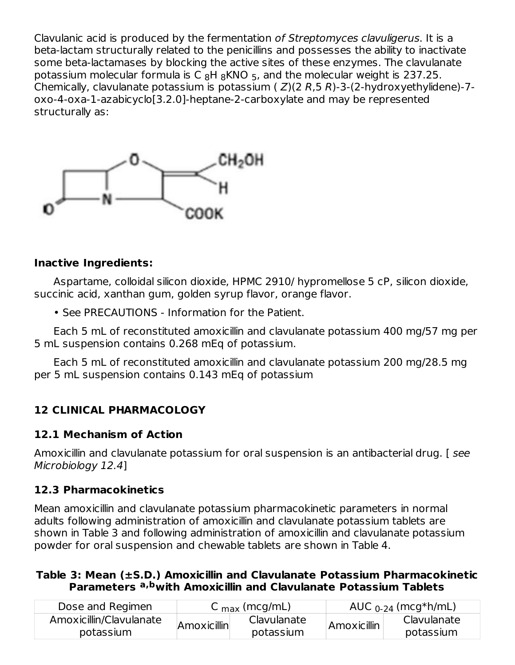Clavulanic acid is produced by the fermentation of Streptomyces clavuligerus. It is a beta-lactam structurally related to the penicillins and possesses the ability to inactivate some beta-lactamases by blocking the active sites of these enzymes. The clavulanate potassium molecular formula is C  $_8$ H  $_8$ KNO  $_5$ , and the molecular weight is 237.25. Chemically, clavulanate potassium is potassium ( $Z$ )(2 R,5 R)-3-(2-hydroxyethylidene)-7oxo-4-oxa-1-azabicyclo[3.2.0]-heptane-2-carboxylate and may be represented structurally as:



#### **Inactive Ingredients:**

Aspartame, colloidal silicon dioxide, HPMC 2910/ hypromellose 5 cP, silicon dioxide, succinic acid, xanthan gum, golden syrup flavor, orange flavor.

• See PRECAUTIONS - Information for the Patient.

Each 5 mL of reconstituted amoxicillin and clavulanate potassium 400 mg/57 mg per 5 mL suspension contains 0.268 mEq of potassium.

Each 5 mL of reconstituted amoxicillin and clavulanate potassium 200 mg/28.5 mg per 5 mL suspension contains 0.143 mEq of potassium

## **12 CLINICAL PHARMACOLOGY**

#### **12.1 Mechanism of Action**

Amoxicillin and clavulanate potassium for oral suspension is an antibacterial drug. [ see Microbiology 12.4]

### **12.3 Pharmacokinetics**

Mean amoxicillin and clavulanate potassium pharmacokinetic parameters in normal adults following administration of amoxicillin and clavulanate potassium tablets are shown in Table 3 and following administration of amoxicillin and clavulanate potassium powder for oral suspension and chewable tablets are shown in Table 4.

#### **Table 3: Mean (±S.D.) Amoxicillin and Clavulanate Potassium Pharmacokinetic Parameters with Amoxicillin and Clavulanate Potassium Tablets a,b**

| Dose and Regimen                     | C $_{\text{max}}$ (mcg/mL) |                          |             | AUC $_{0-24}$ (mcg*h/mL) |
|--------------------------------------|----------------------------|--------------------------|-------------|--------------------------|
| Amoxicillin/Clavulanate<br>potassium | Amoxicillin                | Clavulanate<br>potassium | Amoxicillin | Clavulanate<br>potassium |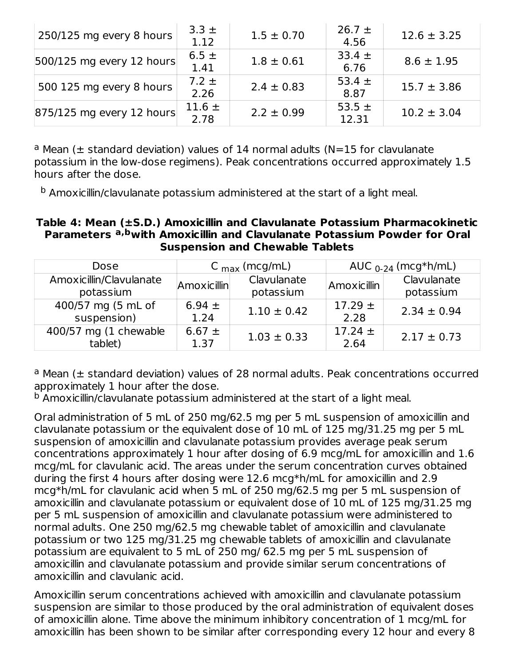| 250/125 mg every 8 hours     | $3.3 \pm$<br>1.12  | $1.5 \pm 0.70$ | $26.7 \pm$<br>4.56  | $12.6 \pm 3.25$ |
|------------------------------|--------------------|----------------|---------------------|-----------------|
| $ 500/125$ mg every 12 hours | 6.5 $\pm$<br>1.41  | $1.8 \pm 0.61$ | $33.4 \pm$<br>6.76  | $8.6 \pm 1.95$  |
| 500 125 mg every 8 hours     | $7.2 \pm$<br>2.26  | $2.4 \pm 0.83$ | 53.4 $\pm$<br>8.87  | $15.7 \pm 3.86$ |
| 875/125 mg every 12 hours    | 11.6 $\pm$<br>2.78 | $2.2 \pm 0.99$ | 53.5 $\pm$<br>12.31 | $10.2 \pm 3.04$ |

 $a$  Mean ( $\pm$  standard deviation) values of 14 normal adults (N=15 for clavulanate potassium in the low-dose regimens). Peak concentrations occurred approximately 1.5 hours after the dose.

b Amoxicillin/clavulanate potassium administered at the start of a light meal.

#### **Table 4: Mean (±S.D.) Amoxicillin and Clavulanate Potassium Pharmacokinetic Parameters with Amoxicillin and Clavulanate Potassium Powder for Oral a,b Suspension and Chewable Tablets**

| Dose                                 |                    | C $_{\text{max}}$ (mcg/mL) |                     | AUC $_{0-24}$ (mcg*h/mL) |
|--------------------------------------|--------------------|----------------------------|---------------------|--------------------------|
| Amoxicillin/Clavulanate<br>potassium | Amoxicillin        | Clavulanate<br>potassium   | Amoxicillin         | Clavulanate<br>potassium |
| 400/57 mg (5 mL of<br>suspension)    | 6.94 $\pm$<br>1.24 | $1.10 \pm 0.42$            | $17.29 \pm$<br>2.28 | $2.34 \pm 0.94$          |
| 400/57 mg (1 chewable<br>tablet)     | 6.67 $\pm$<br>1.37 | $1.03 \pm 0.33$            | $17.24 \pm$<br>2.64 | $2.17 \pm 0.73$          |

a Mean (± standard deviation) values of 28 normal adults. Peak concentrations occurred approximately 1 hour after the dose.

 $^{\rm b}$  Amoxicillin/clavulanate potassium administered at the start of a light meal.

Oral administration of 5 mL of 250 mg/62.5 mg per 5 mL suspension of amoxicillin and clavulanate potassium or the equivalent dose of 10 mL of 125 mg/31.25 mg per 5 mL suspension of amoxicillin and clavulanate potassium provides average peak serum concentrations approximately 1 hour after dosing of 6.9 mcg/mL for amoxicillin and 1.6 mcg/mL for clavulanic acid. The areas under the serum concentration curves obtained during the first 4 hours after dosing were 12.6 mcg\*h/mL for amoxicillin and 2.9 mcg\*h/mL for clavulanic acid when 5 mL of 250 mg/62.5 mg per 5 mL suspension of amoxicillin and clavulanate potassium or equivalent dose of 10 mL of 125 mg/31.25 mg per 5 mL suspension of amoxicillin and clavulanate potassium were administered to normal adults. One 250 mg/62.5 mg chewable tablet of amoxicillin and clavulanate potassium or two 125 mg/31.25 mg chewable tablets of amoxicillin and clavulanate potassium are equivalent to 5 mL of 250 mg/ 62.5 mg per 5 mL suspension of amoxicillin and clavulanate potassium and provide similar serum concentrations of amoxicillin and clavulanic acid.

Amoxicillin serum concentrations achieved with amoxicillin and clavulanate potassium suspension are similar to those produced by the oral administration of equivalent doses of amoxicillin alone. Time above the minimum inhibitory concentration of 1 mcg/mL for amoxicillin has been shown to be similar after corresponding every 12 hour and every 8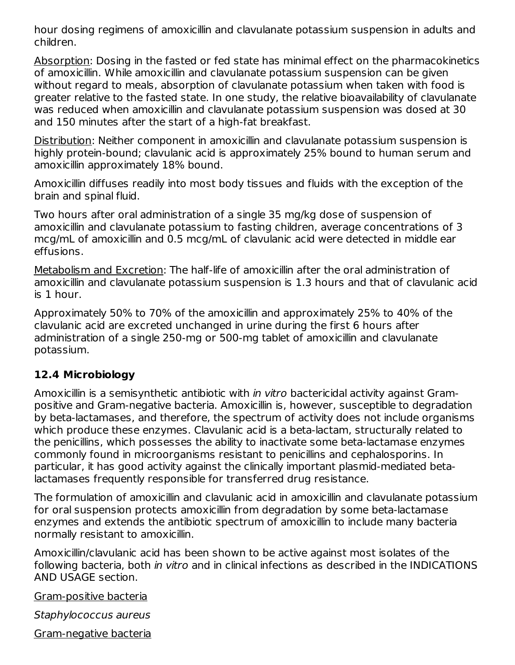hour dosing regimens of amoxicillin and clavulanate potassium suspension in adults and children.

Absorption: Dosing in the fasted or fed state has minimal effect on the pharmacokinetics of amoxicillin. While amoxicillin and clavulanate potassium suspension can be given without regard to meals, absorption of clavulanate potassium when taken with food is greater relative to the fasted state. In one study, the relative bioavailability of clavulanate was reduced when amoxicillin and clavulanate potassium suspension was dosed at 30 and 150 minutes after the start of a high-fat breakfast.

Distribution: Neither component in amoxicillin and clavulanate potassium suspension is highly protein-bound; clavulanic acid is approximately 25% bound to human serum and amoxicillin approximately 18% bound.

Amoxicillin diffuses readily into most body tissues and fluids with the exception of the brain and spinal fluid.

Two hours after oral administration of a single 35 mg/kg dose of suspension of amoxicillin and clavulanate potassium to fasting children, average concentrations of 3 mcg/mL of amoxicillin and 0.5 mcg/mL of clavulanic acid were detected in middle ear effusions.

Metabolism and Excretion: The half-life of amoxicillin after the oral administration of amoxicillin and clavulanate potassium suspension is 1.3 hours and that of clavulanic acid is 1 hour.

Approximately 50% to 70% of the amoxicillin and approximately 25% to 40% of the clavulanic acid are excreted unchanged in urine during the first 6 hours after administration of a single 250-mg or 500-mg tablet of amoxicillin and clavulanate potassium.

### **12.4 Microbiology**

Amoxicillin is a semisynthetic antibiotic with in vitro bactericidal activity against Grampositive and Gram-negative bacteria. Amoxicillin is, however, susceptible to degradation by beta-lactamases, and therefore, the spectrum of activity does not include organisms which produce these enzymes. Clavulanic acid is a beta-lactam, structurally related to the penicillins, which possesses the ability to inactivate some beta-lactamase enzymes commonly found in microorganisms resistant to penicillins and cephalosporins. In particular, it has good activity against the clinically important plasmid-mediated betalactamases frequently responsible for transferred drug resistance.

The formulation of amoxicillin and clavulanic acid in amoxicillin and clavulanate potassium for oral suspension protects amoxicillin from degradation by some beta-lactamase enzymes and extends the antibiotic spectrum of amoxicillin to include many bacteria normally resistant to amoxicillin.

Amoxicillin/clavulanic acid has been shown to be active against most isolates of the following bacteria, both in vitro and in clinical infections as described in the INDICATIONS AND USAGE section.

Gram-positive bacteria

Staphylococcus aureus

Gram-negative bacteria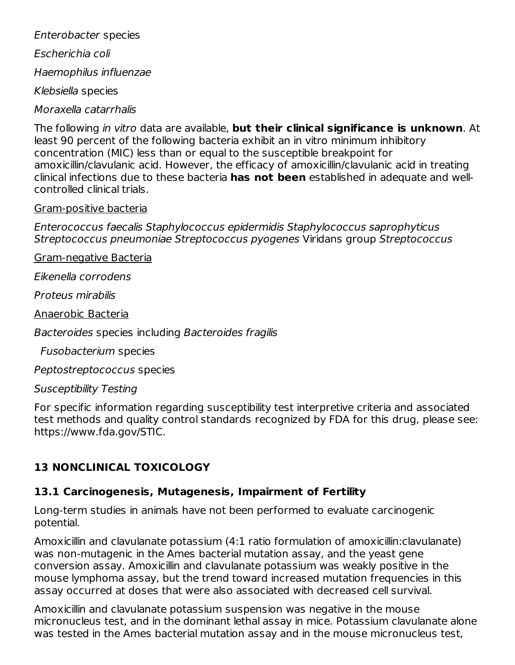Enterobacter species

Escherichia coli

Haemophilus influenzae

Klebsiella species

Moraxella catarrhalis

The following in vitro data are available, **but their clinical significance is unknown**. At least 90 percent of the following bacteria exhibit an in vitro minimum inhibitory concentration (MIC) less than or equal to the susceptible breakpoint for amoxicillin/clavulanic acid. However, the efficacy of amoxicillin/clavulanic acid in treating clinical infections due to these bacteria **has not been** established in adequate and wellcontrolled clinical trials.

#### Gram-positive bacteria

Enterococcus faecalis Staphylococcus epidermidis Staphylococcus saprophyticus Streptococcus pneumoniae Streptococcus pyogenes Viridans group Streptococcus

Gram-negative Bacteria

Eikenella corrodens

Proteus mirabilis

Anaerobic Bacteria

Bacteroides species including Bacteroides fragilis

Fusobacterium species

Peptostreptococcus species

Susceptibility Testing

For specific information regarding susceptibility test interpretive criteria and associated test methods and quality control standards recognized by FDA for this drug, please see: https://www.fda.gov/STIC.

# **13 NONCLINICAL TOXICOLOGY**

## **13.1 Carcinogenesis, Mutagenesis, Impairment of Fertility**

Long-term studies in animals have not been performed to evaluate carcinogenic potential.

Amoxicillin and clavulanate potassium (4:1 ratio formulation of amoxicillin:clavulanate) was non-mutagenic in the Ames bacterial mutation assay, and the yeast gene conversion assay. Amoxicillin and clavulanate potassium was weakly positive in the mouse lymphoma assay, but the trend toward increased mutation frequencies in this assay occurred at doses that were also associated with decreased cell survival.

Amoxicillin and clavulanate potassium suspension was negative in the mouse micronucleus test, and in the dominant lethal assay in mice. Potassium clavulanate alone was tested in the Ames bacterial mutation assay and in the mouse micronucleus test,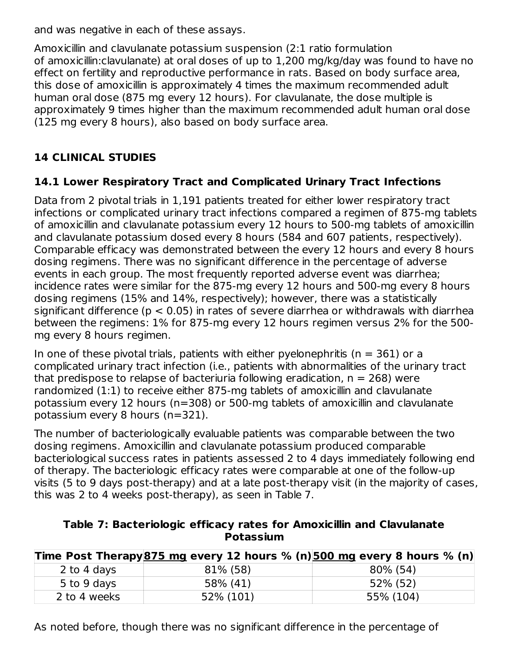and was negative in each of these assays.

Amoxicillin and clavulanate potassium suspension (2:1 ratio formulation of amoxicillin:clavulanate) at oral doses of up to 1,200 mg/kg/day was found to have no effect on fertility and reproductive performance in rats. Based on body surface area, this dose of amoxicillin is approximately 4 times the maximum recommended adult human oral dose (875 mg every 12 hours). For clavulanate, the dose multiple is approximately 9 times higher than the maximum recommended adult human oral dose (125 mg every 8 hours), also based on body surface area.

## **14 CLINICAL STUDIES**

#### **14.1 Lower Respiratory Tract and Complicated Urinary Tract Infections**

Data from 2 pivotal trials in 1,191 patients treated for either lower respiratory tract infections or complicated urinary tract infections compared a regimen of 875-mg tablets of amoxicillin and clavulanate potassium every 12 hours to 500-mg tablets of amoxicillin and clavulanate potassium dosed every 8 hours (584 and 607 patients, respectively). Comparable efficacy was demonstrated between the every 12 hours and every 8 hours dosing regimens. There was no significant difference in the percentage of adverse events in each group. The most frequently reported adverse event was diarrhea; incidence rates were similar for the 875-mg every 12 hours and 500-mg every 8 hours dosing regimens (15% and 14%, respectively); however, there was a statistically significant difference ( $p < 0.05$ ) in rates of severe diarrhea or withdrawals with diarrhea between the regimens: 1% for 875-mg every 12 hours regimen versus 2% for the 500 mg every 8 hours regimen.

In one of these pivotal trials, patients with either pyelonephritis ( $n = 361$ ) or a complicated urinary tract infection (i.e., patients with abnormalities of the urinary tract that predispose to relapse of bacteriuria following eradication,  $n = 268$ ) were randomized (1:1) to receive either 875-mg tablets of amoxicillin and clavulanate potassium every 12 hours (n=308) or 500-mg tablets of amoxicillin and clavulanate potassium every 8 hours (n=321).

The number of bacteriologically evaluable patients was comparable between the two dosing regimens. Amoxicillin and clavulanate potassium produced comparable bacteriological success rates in patients assessed 2 to 4 days immediately following end of therapy. The bacteriologic efficacy rates were comparable at one of the follow-up visits (5 to 9 days post-therapy) and at a late post-therapy visit (in the majority of cases, this was 2 to 4 weeks post-therapy), as seen in Table 7.

| Table 7: Bacteriologic efficacy rates for Amoxicillin and Clavulanate |           |  |
|-----------------------------------------------------------------------|-----------|--|
|                                                                       | Potassium |  |

|              | Time Post Therapy 875 mg every 12 hours % (n) 500 mg every 8 hours % (n) |           |
|--------------|--------------------------------------------------------------------------|-----------|
| 2 to 4 days  | 81% (58)                                                                 | 80% (54)  |
| 5 to 9 days  | 58% (41)                                                                 | 52% (52)  |
| 2 to 4 weeks | 52% (101)                                                                | 55% (104) |

As noted before, though there was no significant difference in the percentage of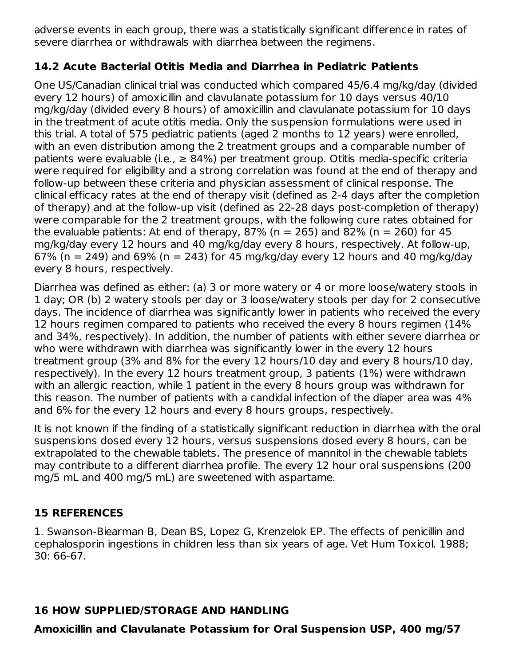adverse events in each group, there was a statistically significant difference in rates of severe diarrhea or withdrawals with diarrhea between the regimens.

## **14.2 Acute Bacterial Otitis Media and Diarrhea in Pediatric Patients**

One US/Canadian clinical trial was conducted which compared 45/6.4 mg/kg/day (divided every 12 hours) of amoxicillin and clavulanate potassium for 10 days versus 40/10 mg/kg/day (divided every 8 hours) of amoxicillin and clavulanate potassium for 10 days in the treatment of acute otitis media. Only the suspension formulations were used in this trial. A total of 575 pediatric patients (aged 2 months to 12 years) were enrolled, with an even distribution among the 2 treatment groups and a comparable number of patients were evaluable (i.e.,  $\geq 84\%$ ) per treatment group. Otitis media-specific criteria were required for eligibility and a strong correlation was found at the end of therapy and follow-up between these criteria and physician assessment of clinical response. The clinical efficacy rates at the end of therapy visit (defined as 2-4 days after the completion of therapy) and at the follow-up visit (defined as 22-28 days post-completion of therapy) were comparable for the 2 treatment groups, with the following cure rates obtained for the evaluable patients: At end of therapy,  $87\%$  (n = 265) and  $82\%$  (n = 260) for 45 mg/kg/day every 12 hours and 40 mg/kg/day every 8 hours, respectively. At follow-up, 67% (n = 249) and 69% (n = 243) for 45 mg/kg/day every 12 hours and 40 mg/kg/day every 8 hours, respectively.

Diarrhea was defined as either: (a) 3 or more watery or 4 or more loose/watery stools in 1 day; OR (b) 2 watery stools per day or 3 loose/watery stools per day for 2 consecutive days. The incidence of diarrhea was significantly lower in patients who received the every 12 hours regimen compared to patients who received the every 8 hours regimen (14% and 34%, respectively). In addition, the number of patients with either severe diarrhea or who were withdrawn with diarrhea was significantly lower in the every 12 hours treatment group (3% and 8% for the every 12 hours/10 day and every 8 hours/10 day, respectively). In the every 12 hours treatment group, 3 patients (1%) were withdrawn with an allergic reaction, while 1 patient in the every 8 hours group was withdrawn for this reason. The number of patients with a candidal infection of the diaper area was 4% and 6% for the every 12 hours and every 8 hours groups, respectively.

It is not known if the finding of a statistically significant reduction in diarrhea with the oral suspensions dosed every 12 hours, versus suspensions dosed every 8 hours, can be extrapolated to the chewable tablets. The presence of mannitol in the chewable tablets may contribute to a different diarrhea profile. The every 12 hour oral suspensions (200 mg/5 mL and 400 mg/5 mL) are sweetened with aspartame.

## **15 REFERENCES**

1. Swanson-Biearman B, Dean BS, Lopez G, Krenzelok EP. The effects of penicillin and cephalosporin ingestions in children less than six years of age. Vet Hum Toxicol. 1988; 30: 66-67.

### **16 HOW SUPPLIED/STORAGE AND HANDLING**

**Amoxicillin and Clavulanate Potassium for Oral Suspension USP, 400 mg/57**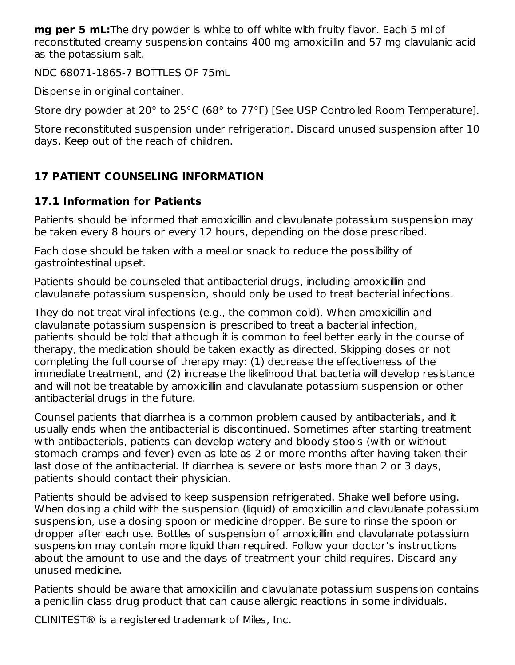**mg per 5 mL:**The dry powder is white to off white with fruity flavor. Each 5 ml of reconstituted creamy suspension contains 400 mg amoxicillin and 57 mg clavulanic acid as the potassium salt.

NDC 68071-1865-7 BOTTLES OF 75mL

Dispense in original container.

Store dry powder at 20° to 25°C (68° to 77°F) [See USP Controlled Room Temperature].

Store reconstituted suspension under refrigeration. Discard unused suspension after 10 days. Keep out of the reach of children.

# **17 PATIENT COUNSELING INFORMATION**

## **17.1 Information for Patients**

Patients should be informed that amoxicillin and clavulanate potassium suspension may be taken every 8 hours or every 12 hours, depending on the dose prescribed.

Each dose should be taken with a meal or snack to reduce the possibility of gastrointestinal upset.

Patients should be counseled that antibacterial drugs, including amoxicillin and clavulanate potassium suspension, should only be used to treat bacterial infections.

They do not treat viral infections (e.g., the common cold). When amoxicillin and clavulanate potassium suspension is prescribed to treat a bacterial infection, patients should be told that although it is common to feel better early in the course of therapy, the medication should be taken exactly as directed. Skipping doses or not completing the full course of therapy may: (1) decrease the effectiveness of the immediate treatment, and (2) increase the likelihood that bacteria will develop resistance and will not be treatable by amoxicillin and clavulanate potassium suspension or other antibacterial drugs in the future.

Counsel patients that diarrhea is a common problem caused by antibacterials, and it usually ends when the antibacterial is discontinued. Sometimes after starting treatment with antibacterials, patients can develop watery and bloody stools (with or without stomach cramps and fever) even as late as 2 or more months after having taken their last dose of the antibacterial. If diarrhea is severe or lasts more than 2 or 3 days, patients should contact their physician.

Patients should be advised to keep suspension refrigerated. Shake well before using. When dosing a child with the suspension (liquid) of amoxicillin and clavulanate potassium suspension, use a dosing spoon or medicine dropper. Be sure to rinse the spoon or dropper after each use. Bottles of suspension of amoxicillin and clavulanate potassium suspension may contain more liquid than required. Follow your doctor's instructions about the amount to use and the days of treatment your child requires. Discard any unused medicine.

Patients should be aware that amoxicillin and clavulanate potassium suspension contains a penicillin class drug product that can cause allergic reactions in some individuals.

CLINITEST® is a registered trademark of Miles, Inc.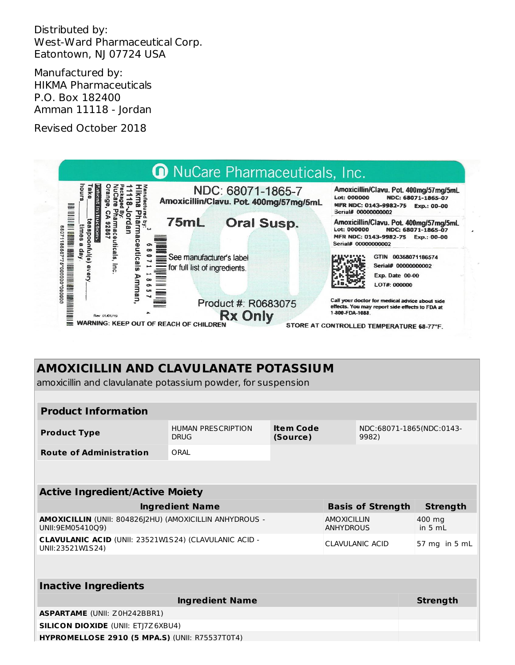Distributed by: West-Ward Pharmaceutical Corp. Eatontown, NJ 07724 USA

Manufactured by: HIKMA Pharmaceuticals P.O. Box 182400 Amman 11118 - Jordan

Revised October 2018



# **AMOXICILLIN AND CLAVULANATE POTASSIUM**

amoxicillin and clavulanate potassium powder, for suspension

| <b>Product Information</b>                                                       |                                          |                              |                                        |                                   |                     |
|----------------------------------------------------------------------------------|------------------------------------------|------------------------------|----------------------------------------|-----------------------------------|---------------------|
| <b>Product Type</b>                                                              | <b>HUMAN PRESCRIPTION</b><br><b>DRUG</b> | <b>Item Code</b><br>(Source) |                                        | NDC:68071-1865(NDC:0143-<br>9982) |                     |
| <b>Route of Administration</b>                                                   | ORAI                                     |                              |                                        |                                   |                     |
|                                                                                  |                                          |                              |                                        |                                   |                     |
| <b>Active Ingredient/Active Moiety</b>                                           |                                          |                              |                                        |                                   |                     |
|                                                                                  | <b>Ingredient Name</b>                   |                              |                                        | <b>Basis of Strength</b>          | <b>Strength</b>     |
| AMOXICILLIN (UNII: 804826J2HU) (AMOXICILLIN ANHYDROUS -<br>UNII:9EM05410Q9)      |                                          |                              | <b>AMOXICILLIN</b><br><b>ANHYDROUS</b> |                                   | 400 mg<br>in 5 $ml$ |
| <b>CLAVULANIC ACID (UNII: 23521W1S24) (CLAVULANIC ACID -</b><br>UNII:23521W1S24) |                                          |                              |                                        | CLAVULANIC ACID                   | 57 mg in 5 mL       |
|                                                                                  |                                          |                              |                                        |                                   |                     |
| <b>Inactive Ingredients</b>                                                      |                                          |                              |                                        |                                   |                     |
|                                                                                  | <b>Ingredient Name</b>                   |                              |                                        |                                   | <b>Strength</b>     |
| <b>ASPARTAME (UNII: Z0H242BBR1)</b>                                              |                                          |                              |                                        |                                   |                     |
| <b>SILICON DIOXIDE (UNII: ETJ7Z6XBU4)</b>                                        |                                          |                              |                                        |                                   |                     |
| <b>HYPROMELLOSE 2910 (5 MPA.S) (UNII: R75537T0T4)</b>                            |                                          |                              |                                        |                                   |                     |